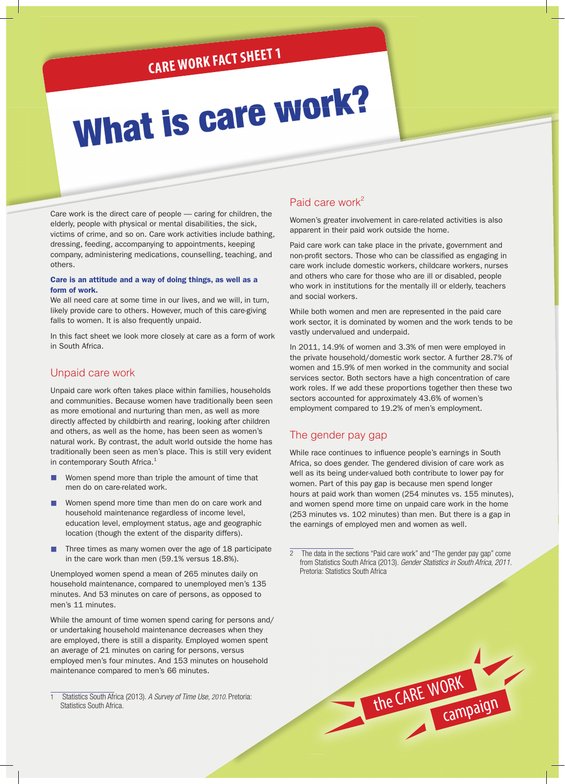# **CARE WORK FACT SHEET 1**

# What is care work?

Care work is the direct care of people — caring for children, the elderly, people with physical or mental disabilities, the sick, victims of crime, and so on. Care work activities include bathing, dressing, feeding, accompanying to appointments, keeping company, administering medications, counselling, teaching, and others.

#### Care is an attitude and a way of doing things, as well as a form of work.

We all need care at some time in our lives, and we will, in turn, likely provide care to others. However, much of this care-giving falls to women. It is also frequently unpaid.

In this fact sheet we look more closely at care as a form of work in South Africa.

#### Unpaid care work

Unpaid care work often takes place within families, households and communities. Because women have traditionally been seen as more emotional and nurturing than men, as well as more directly affected by childbirth and rearing, looking after children and others, as well as the home, has been seen as women's natural work. By contrast, the adult world outside the home has traditionally been seen as men's place. This is still very evident in contemporary South Africa.<sup>1</sup>

- Women spend more than triple the amount of time that men do on care-related work.
- Women spend more time than men do on care work and household maintenance regardless of income level, education level, employment status, age and geographic location (though the extent of the disparity differs).
- Three times as many women over the age of 18 participate in the care work than men (59.1% versus 18.8%).

Unemployed women spend a mean of 265 minutes daily on household maintenance, compared to unemployed men's 135 minutes. And 53 minutes on care of persons, as opposed to men's 11 minutes.

While the amount of time women spend caring for persons and/ or undertaking household maintenance decreases when they are employed, there is still a disparity. Employed women spent an average of 21 minutes on caring for persons, versus employed men's four minutes. And 153 minutes on household maintenance compared to men's 66 minutes.

## Paid care work<sup>2</sup>

Women's greater involvement in care-related activities is also apparent in their paid work outside the home.

Paid care work can take place in the private, government and non-profit sectors. Those who can be classified as engaging in care work include domestic workers, childcare workers, nurses and others who care for those who are ill or disabled, people who work in institutions for the mentally ill or elderly, teachers and social workers.

While both women and men are represented in the paid care work sector, it is dominated by women and the work tends to be vastly undervalued and underpaid.

In 2011, 14.9% of women and 3.3% of men were employed in the private household/domestic work sector. A further 28.7% of women and 15.9% of men worked in the community and social services sector. Both sectors have a high concentration of care work roles. If we add these proportions together then these two sectors accounted for approximately 43.6% of women's employment compared to 19.2% of men's employment.

### The gender pay gap

While race continues to influence people's earnings in South Africa, so does gender. The gendered division of care work as well as its being under-valued both contribute to lower pay for women. Part of this pay gap is because men spend longer hours at paid work than women (254 minutes vs. 155 minutes), and women spend more time on unpaid care work in the home (253 minutes vs. 102 minutes) than men. But there is a gap in the earnings of employed men and women as well.

2 The data in the sections "Paid care work" and "The gender pay gap" come from Statistics South Africa (2013). *Gender Statistics in South Africa, 2011.* Pretoria: Statistics South Africa

the CARE WORK

campaign

<sup>1</sup> Statistics South Africa (2013). *A Survey of Time Use, 2010.* Pretoria: Statistics South Africa.